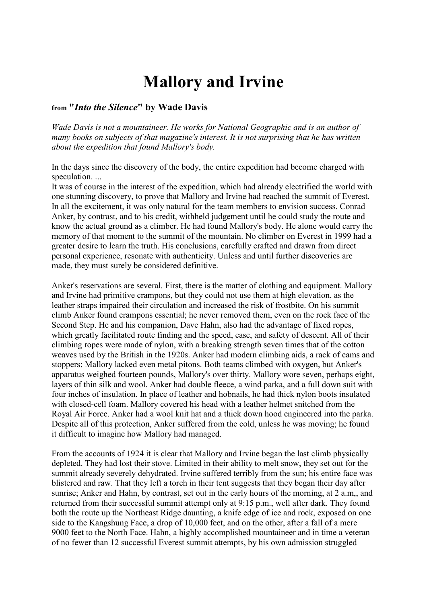# **Mallory and Irvine**

#### **from "***Into the Silence***" by Wade Davis**

*Wade Davis is not a mountaineer. He works for National Geographic and is an author of many books on subjects of that magazine's interest. It is not surprising that he has written about the expedition that found Mallory's body.*

In the days since the discovery of the body, the entire expedition had become charged with speculation. ...

It was of course in the interest of the expedition, which had already electrified the world with one stunning discovery, to prove that Mallory and Irvine had reached the summit of Everest. In all the excitement, it was only natural for the team members to envision success. Conrad Anker, by contrast, and to his credit, withheld judgement until he could study the route and know the actual ground as a climber. He had found Mallory's body. He alone would carry the memory of that moment to the summit of the mountain. No climber on Everest in 1999 had a greater desire to learn the truth. His conclusions, carefully crafted and drawn from direct personal experience, resonate with authenticity. Unless and until further discoveries are made, they must surely be considered definitive.

Anker's reservations are several. First, there is the matter of clothing and equipment. Mallory and Irvine had primitive crampons, but they could not use them at high elevation, as the leather straps impaired their circulation and increased the risk of frostbite. On his summit climb Anker found crampons essential; he never removed them, even on the rock face of the Second Step. He and his companion, Dave Hahn, also had the advantage of fixed ropes, which greatly facilitated route finding and the speed, ease, and safety of descent. All of their climbing ropes were made of nylon, with a breaking strength seven times that of the cotton weaves used by the British in the 1920s. Anker had modern climbing aids, a rack of cams and stoppers; Mallory lacked even metal pitons. Both teams climbed with oxygen, but Anker's apparatus weighed fourteen pounds, Mallory's over thirty. Mallory wore seven, perhaps eight, layers of thin silk and wool. Anker had double fleece, a wind parka, and a full down suit with four inches of insulation. In place of leather and hobnails, he had thick nylon boots insulated with closed-cell foam. Mallory covered his head with a leather helmet snitched from the Royal Air Force. Anker had a wool knit hat and a thick down hood engineered into the parka. Despite all of this protection, Anker suffered from the cold, unless he was moving; he found it difficult to imagine how Mallory had managed.

From the accounts of 1924 it is clear that Mallory and Irvine began the last climb physically depleted. They had lost their stove. Limited in their ability to melt snow, they set out for the summit already severely dehydrated. Irvine suffered terribly from the sun; his entire face was blistered and raw. That they left a torch in their tent suggests that they began their day after sunrise; Anker and Hahn, by contrast, set out in the early hours of the morning, at 2 a.m,, and returned from their successful summit attempt only at 9:15 p.m., well after dark. They found both the route up the Northeast Ridge daunting, a knife edge of ice and rock, exposed on one side to the Kangshung Face, a drop of 10,000 feet, and on the other, after a fall of a mere 9000 feet to the North Face. Hahn, a highly accomplished mountaineer and in time a veteran of no fewer than 12 successful Everest summit attempts, by his own admission struggled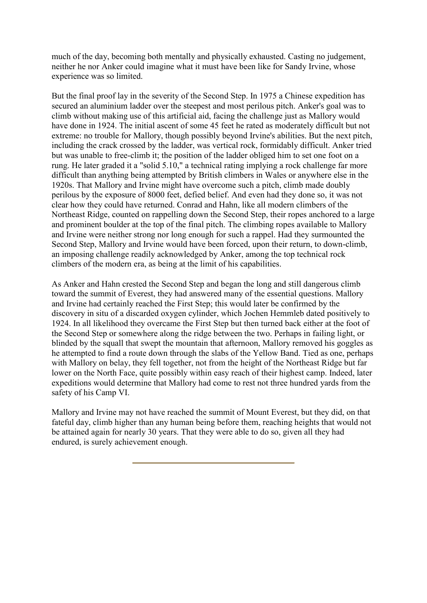much of the day, becoming both mentally and physically exhausted. Casting no judgement, neither he nor Anker could imagine what it must have been like for Sandy Irvine, whose experience was so limited.

But the final proof lay in the severity of the Second Step. In 1975 a Chinese expedition has secured an aluminium ladder over the steepest and most perilous pitch. Anker's goal was to climb without making use of this artificial aid, facing the challenge just as Mallory would have done in 1924. The initial ascent of some 45 feet he rated as moderately difficult but not extreme: no trouble for Mallory, though possibly beyond Irvine's abilities. But the next pitch, including the crack crossed by the ladder, was vertical rock, formidably difficult. Anker tried but was unable to free-climb it; the position of the ladder obliged him to set one foot on a rung. He later graded it a "solid 5.10," a technical rating implying a rock challenge far more difficult than anything being attempted by British climbers in Wales or anywhere else in the 1920s. That Mallory and Irvine might have overcome such a pitch, climb made doubly perilous by the exposure of 8000 feet, defied belief. And even had they done so, it was not clear how they could have returned. Conrad and Hahn, like all modern climbers of the Northeast Ridge, counted on rappelling down the Second Step, their ropes anchored to a large and prominent boulder at the top of the final pitch. The climbing ropes available to Mallory and Irvine were neither strong nor long enough for such a rappel. Had they surmounted the Second Step, Mallory and Irvine would have been forced, upon their return, to down-climb, an imposing challenge readily acknowledged by Anker, among the top technical rock climbers of the modern era, as being at the limit of his capabilities.

As Anker and Hahn crested the Second Step and began the long and still dangerous climb toward the summit of Everest, they had answered many of the essential questions. Mallory and Irvine had certainly reached the First Step; this would later be confirmed by the discovery in situ of a discarded oxygen cylinder, which Jochen Hemmleb dated positively to 1924. In all likelihood they overcame the First Step but then turned back either at the foot of the Second Step or somewhere along the ridge between the two. Perhaps in failing light, or blinded by the squall that swept the mountain that afternoon, Mallory removed his goggles as he attempted to find a route down through the slabs of the Yellow Band. Tied as one, perhaps with Mallory on belay, they fell together, not from the height of the Northeast Ridge but far lower on the North Face, quite possibly within easy reach of their highest camp. Indeed, later expeditions would determine that Mallory had come to rest not three hundred yards from the safety of his Camp VI.

Mallory and Irvine may not have reached the summit of Mount Everest, but they did, on that fateful day, climb higher than any human being before them, reaching heights that would not be attained again for nearly 30 years. That they were able to do so, given all they had endured, is surely achievement enough.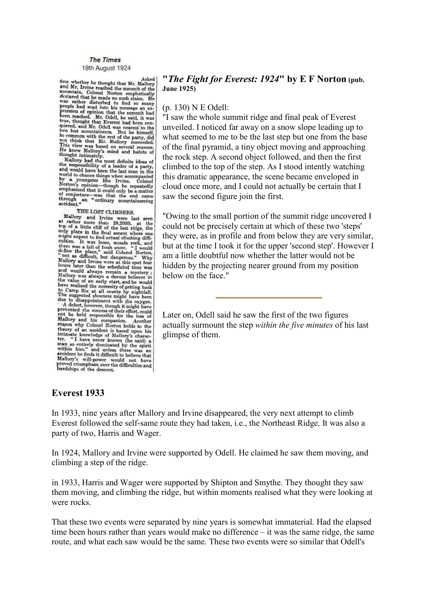#### **The Times** 18th August 1924

Asked<br>
first whether he thought that Mr. Mallory<br>
and Mr. Irvine reached the summit of the<br>
nountain, Colonel Norton emphatically<br>
was rather disturbed to similar. He<br>
prople had read into his message an ex-<br>
pression of o

and would have been the last man in the<br>world to chance things when accompanied<br>by a youngster like Irvine. Colonel<br>Norton's opinion—though he repeatedly<br>emphasized that it could only be a matter emphasized that it could only be a matter of conjecture—was that the end came<br>through an "ordinary mountaineering<br>accident."

#### THE LOST CLIMBERS.

THE LOST CLIMBERS.<br>
Mallory and Irvine were last seen<br>
at rather more than 28,200ft. at the<br>
top of a little eliff of the last ridge, the<br>
only place in the final ascent where one<br>
nuilite scept to find actual eliming diff Mallory and Irvine were at this spot four<br>hours later than the scheduled time was nours tater than the scheduled time was<br>and would always remain a mystery;<br>Mallory was always a devout believer in<br>the value of an early start and be the value of an early start, and he would we value of an early start, and he would<br>have realized the necessity of getting back<br>to Camp Six at all events by nightfall.<br>The suggested slowness might have been<br>due to disappointment with the oxygen.<br>Indeed, however, th

A detect, however, though it might have<br>prevented the success of their effort, could<br>not be held responsible for the loss of<br>Mallory and his companion. Another<br>reason why Colonel Norton holds to the<br>theory of an accident i reason why Colonel Norton holds to the theory of an accident is based upon his time<br>interact based in accident is based upon his terminate handledge of Mallory's characteristic. "I have never known (he said) a man so entir

#### **"***The Fight for Everest: 1924***" by E F Norton (pub. June 1925)**

#### (p. 130) N E Odell:

"I saw the whole summit ridge and final peak of Everest unveiled. I noticed far away on a snow slope leading up to what seemed to me to be the last step but one from the base of the final pyramid, a tiny object moving and approaching the rock step. A second object followed, and then the first climbed to the top of the step. As I stood intently watching this dramatic appearance, the scene became enveloped in cloud once more, and I could not actually be certain that I saw the second figure join the first.

"Owing to the small portion of the summit ridge uncovered I could not be precisely certain at which of these two 'steps' they were, as in profile and from below they are very similar, but at the time I took it for the upper 'second step'. However I am a little doubtful now whether the latter would not be hidden by the projecting nearer ground from my position below on the face."

Later on, Odell said he saw the first of the two figures actually surmount the step *within the five minutes* of his last glimpse of them.

#### **Everest 1933**

In 1933, nine years after Mallory and Irvine disappeared, the very next attempt to climb Everest followed the self-same route they had taken, i.e., the Northeast Ridge. It was also a party of two, Harris and Wager.

In 1924, Mallory and Irvine were supported by Odell. He claimed he saw them moving, and climbing a step of the ridge.

in 1933, Harris and Wager were supported by Shipton and Smythe. They thought they saw them moving, and climbing the ridge, but within moments realised what they were looking at were rocks.

That these two events were separated by nine years is somewhat immaterial. Had the elapsed time been hours rather than years would make no difference – it was the same ridge, the same route, and what each saw would be the same. These two events were so similar that Odell's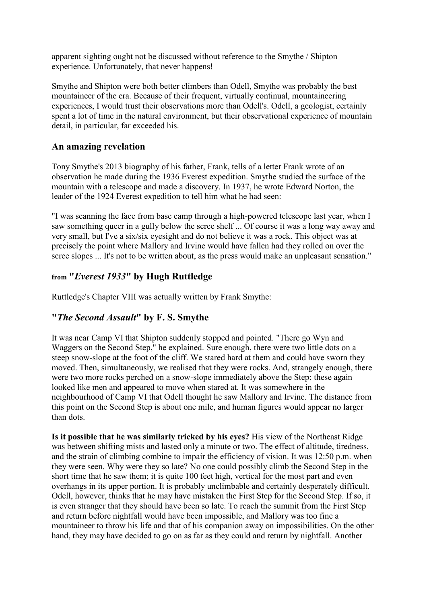apparent sighting ought not be discussed without reference to the Smythe / Shipton experience. Unfortunately, that never happens!

Smythe and Shipton were both better climbers than Odell, Smythe was probably the best mountaineer of the era. Because of their frequent, virtually continual, mountaineering experiences, I would trust their observations more than Odell's. Odell, a geologist, certainly spent a lot of time in the natural environment, but their observational experience of mountain detail, in particular, far exceeded his.

## **An amazing revelation**

Tony Smythe's 2013 biography of his father, Frank, tells of a letter Frank wrote of an observation he made during the 1936 Everest expedition. Smythe studied the surface of the mountain with a telescope and made a discovery. In 1937, he wrote Edward Norton, the leader of the 1924 Everest expedition to tell him what he had seen:

"I was scanning the face from base camp through a high-powered telescope last year, when I saw something queer in a gully below the scree shelf ... Of course it was a long way away and very small, but I've a six/six eyesight and do not believe it was a rock. This object was at precisely the point where Mallory and Irvine would have fallen had they rolled on over the scree slopes ... It's not to be written about, as the press would make an unpleasant sensation."

## **from "***Everest 1933***" by Hugh Ruttledge**

Ruttledge's Chapter VIII was actually written by Frank Smythe:

# **"***The Second Assault***" by F. S. Smythe**

It was near Camp VI that Shipton suddenly stopped and pointed. "There go Wyn and Waggers on the Second Step," he explained. Sure enough, there were two little dots on a steep snow-slope at the foot of the cliff. We stared hard at them and could have sworn they moved. Then, simultaneously, we realised that they were rocks. And, strangely enough, there were two more rocks perched on a snow-slope immediately above the Step; these again looked like men and appeared to move when stared at. It was somewhere in the neighbourhood of Camp VI that Odell thought he saw Mallory and Irvine. The distance from this point on the Second Step is about one mile, and human figures would appear no larger than dots.

**Is it possible that he was similarly tricked by his eyes?** His view of the Northeast Ridge was between shifting mists and lasted only a minute or two. The effect of altitude, tiredness, and the strain of climbing combine to impair the efficiency of vision. It was 12:50 p.m. when they were seen. Why were they so late? No one could possibly climb the Second Step in the short time that he saw them; it is quite 100 feet high, vertical for the most part and even overhangs in its upper portion. It is probably unclimbable and certainly desperately difficult. Odell, however, thinks that he may have mistaken the First Step for the Second Step. If so, it is even stranger that they should have been so late. To reach the summit from the First Step and return before nightfall would have been impossible, and Mallory was too fine a mountaineer to throw his life and that of his companion away on impossibilities. On the other hand, they may have decided to go on as far as they could and return by nightfall. Another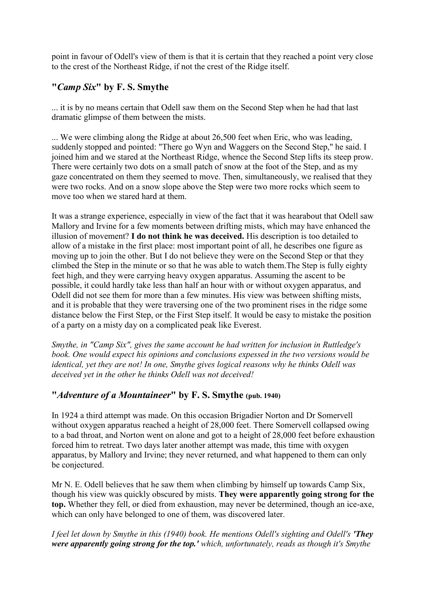point in favour of Odell's view of them is that it is certain that they reached a point very close to the crest of the Northeast Ridge, if not the crest of the Ridge itself.

# **"***Camp Six***" by F. S. Smythe**

... it is by no means certain that Odell saw them on the Second Step when he had that last dramatic glimpse of them between the mists.

... We were climbing along the Ridge at about 26,500 feet when Eric, who was leading, suddenly stopped and pointed: "There go Wyn and Waggers on the Second Step," he said. I joined him and we stared at the Northeast Ridge, whence the Second Step lifts its steep prow. There were certainly two dots on a small patch of snow at the foot of the Step, and as my gaze concentrated on them they seemed to move. Then, simultaneously, we realised that they were two rocks. And on a snow slope above the Step were two more rocks which seem to move too when we stared hard at them.

It was a strange experience, especially in view of the fact that it was hearabout that Odell saw Mallory and Irvine for a few moments between drifting mists, which may have enhanced the illusion of movement? **I do not think he was deceived.** His description is too detailed to allow of a mistake in the first place: most important point of all, he describes one figure as moving up to join the other. But I do not believe they were on the Second Step or that they climbed the Step in the minute or so that he was able to watch them.The Step is fully eighty feet high, and they were carrying heavy oxygen apparatus. Assuming the ascent to be possible, it could hardly take less than half an hour with or without oxygen apparatus, and Odell did not see them for more than a few minutes. His view was between shifting mists, and it is probable that they were traversing one of the two prominent rises in the ridge some distance below the First Step, or the First Step itself. It would be easy to mistake the position of a party on a misty day on a complicated peak like Everest.

*Smythe, in "Camp Six", gives the same account he had written for inclusion in Ruttledge's book. One would expect his opinions and conclusions expessed in the two versions would be identical, yet they are not! In one, Smythe gives logical reasons why he thinks Odell was deceived yet in the other he thinks Odell was not deceived!*

## **"***Adventure of a Mountaineer***" by F. S. Smythe (pub. 1940)**

In 1924 a third attempt was made. On this occasion Brigadier Norton and Dr Somervell without oxygen apparatus reached a height of 28,000 feet. There Somervell collapsed owing to a bad throat, and Norton went on alone and got to a height of 28,000 feet before exhaustion forced him to retreat. Two days later another attempt was made, this time with oxygen apparatus, by Mallory and Irvine; they never returned, and what happened to them can only be conjectured.

Mr N. E. Odell believes that he saw them when climbing by himself up towards Camp Six, though his view was quickly obscured by mists. **They were apparently going strong for the top.** Whether they fell, or died from exhaustion, may never be determined, though an ice-axe, which can only have belonged to one of them, was discovered later.

#### *I feel let down by Smythe in this (1940) book. He mentions Odell's sighting and Odell's 'They were apparently going strong for the top.' which, unfortunately, reads as though it's Smythe*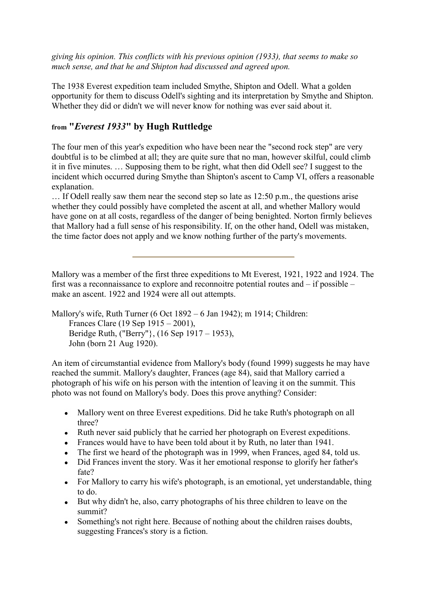*giving his opinion. This conflicts with his previous opinion (1933), that seems to make so much sense, and that he and Shipton had discussed and agreed upon.*

The 1938 Everest expedition team included Smythe, Shipton and Odell. What a golden opportunity for them to discuss Odell's sighting and its interpretation by Smythe and Shipton. Whether they did or didn't we will never know for nothing was ever said about it.

# **from "***Everest 1933***" by Hugh Ruttledge**

The four men of this year's expedition who have been near the "second rock step" are very doubtful is to be climbed at all; they are quite sure that no man, however skilful, could climb it in five minutes. … Supposing them to be right, what then did Odell see? I suggest to the incident which occurred during Smythe than Shipton's ascent to Camp VI, offers a reasonable explanation.

… If Odell really saw them near the second step so late as 12:50 p.m., the questions arise whether they could possibly have completed the ascent at all, and whether Mallory would have gone on at all costs, regardless of the danger of being benighted. Norton firmly believes that Mallory had a full sense of his responsibility. If, on the other hand, Odell was mistaken, the time factor does not apply and we know nothing further of the party's movements.

Mallory was a member of the first three expeditions to Mt Everest, 1921, 1922 and 1924. The first was a reconnaissance to explore and reconnoitre potential routes and – if possible – make an ascent. 1922 and 1924 were all out attempts.

Mallory's wife, Ruth Turner (6 Oct 1892 – 6 Jan 1942); m 1914; Children: Frances Clare (19 Sep 1915 – 2001), Beridge Ruth, ("Berry"}, (16 Sep 1917 – 1953), John (born 21 Aug 1920).

An item of circumstantial evidence from Mallory's body (found 1999) suggests he may have reached the summit. Mallory's daughter, Frances (age 84), said that Mallory carried a photograph of his wife on his person with the intention of leaving it on the summit. This photo was not found on Mallory's body. Does this prove anything? Consider:

- Mallory went on three Everest expeditions. Did he take Ruth's photograph on all three?
- Ruth never said publicly that he carried her photograph on Everest expeditions.
- Frances would have to have been told about it by Ruth, no later than 1941.
- The first we heard of the photograph was in 1999, when Frances, aged 84, told us.  $\bullet$
- Did Frances invent the story. Was it her emotional response to glorify her father's fate?
- For Mallory to carry his wife's photograph, is an emotional, yet understandable, thing to do.
- But why didn't he, also, carry photographs of his three children to leave on the summit?
- Something's not right here. Because of nothing about the children raises doubts, suggesting Frances's story is a fiction.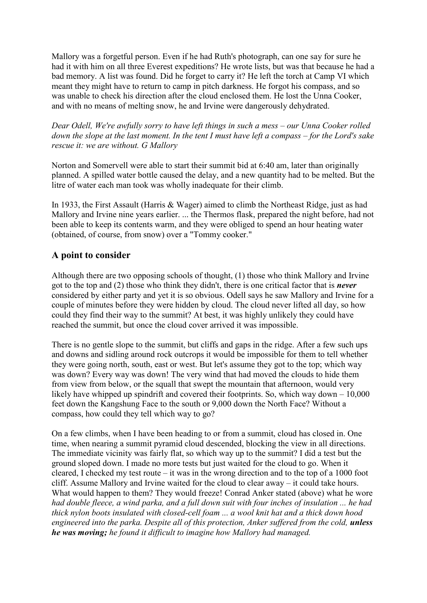Mallory was a forgetful person. Even if he had Ruth's photograph, can one say for sure he had it with him on all three Everest expeditions? He wrote lists, but was that because he had a bad memory. A list was found. Did he forget to carry it? He left the torch at Camp VI which meant they might have to return to camp in pitch darkness. He forgot his compass, and so was unable to check his direction after the cloud enclosed them. He lost the Unna Cooker, and with no means of melting snow, he and Irvine were dangerously dehydrated.

*Dear Odell, We're awfully sorry to have left things in such a mess – our Unna Cooker rolled down the slope at the last moment. In the tent I must have left a compass – for the Lord's sake rescue it: we are without. G Mallory*

Norton and Somervell were able to start their summit bid at 6:40 am, later than originally planned. A spilled water bottle caused the delay, and a new quantity had to be melted. But the litre of water each man took was wholly inadequate for their climb.

In 1933, the First Assault (Harris & Wager) aimed to climb the Northeast Ridge, just as had Mallory and Irvine nine years earlier. ... the Thermos flask, prepared the night before, had not been able to keep its contents warm, and they were obliged to spend an hour heating water (obtained, of course, from snow) over a "Tommy cooker."

## **A point to consider**

Although there are two opposing schools of thought, (1) those who think Mallory and Irvine got to the top and (2) those who think they didn't, there is one critical factor that is *never* considered by either party and yet it is so obvious. Odell says he saw Mallory and Irvine for a couple of minutes before they were hidden by cloud. The cloud never lifted all day, so how could they find their way to the summit? At best, it was highly unlikely they could have reached the summit, but once the cloud cover arrived it was impossible.

There is no gentle slope to the summit, but cliffs and gaps in the ridge. After a few such ups and downs and sidling around rock outcrops it would be impossible for them to tell whether they were going north, south, east or west. But let's assume they got to the top; which way was down? Every way was down! The very wind that had moved the clouds to hide them from view from below, or the squall that swept the mountain that afternoon, would very likely have whipped up spindrift and covered their footprints. So, which way down – 10,000 feet down the Kangshung Face to the south or 9,000 down the North Face? Without a compass, how could they tell which way to go?

On a few climbs, when I have been heading to or from a summit, cloud has closed in. One time, when nearing a summit pyramid cloud descended, blocking the view in all directions. The immediate vicinity was fairly flat, so which way up to the summit? I did a test but the ground sloped down. I made no more tests but just waited for the cloud to go. When it cleared, I checked my test route – it was in the wrong direction and to the top of a 1000 foot cliff. Assume Mallory and Irvine waited for the cloud to clear away – it could take hours. What would happen to them? They would freeze! Conrad Anker stated (above) what he wore *had double fleece, a wind parka, and a full down suit with four inches of insulation ... he had thick nylon boots insulated with closed-cell foam ... a wool knit hat and a thick down hood engineered into the parka. Despite all of this protection, Anker suffered from the cold, unless he was moving; he found it difficult to imagine how Mallory had managed.*